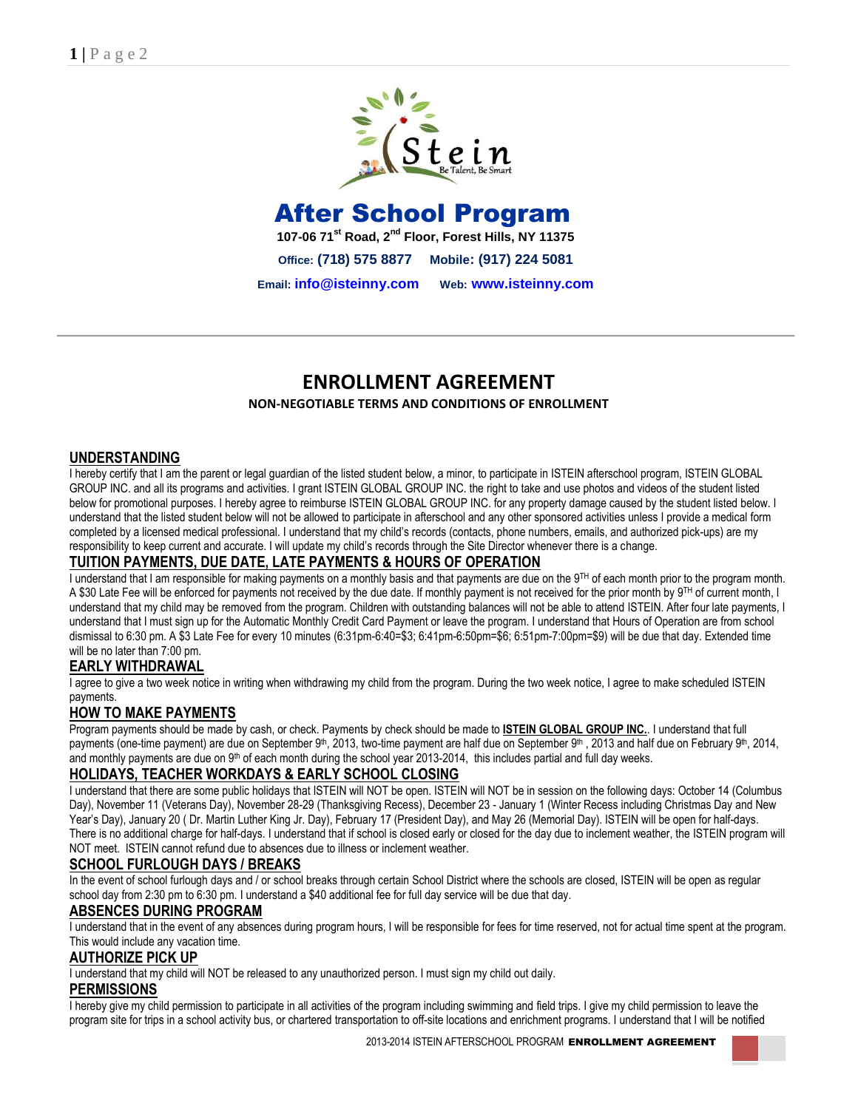

# After School Program

**107-06 71st Road, 2nd Floor, Forest Hills, NY 11375** 

**Office: (718) 575 8877 Mobile: (917) 224 5081** 

**Email: [info@isteinny.com](mailto:info@isteinny.com) Web: [www.isteinny.com](http://www.isteinny.com/)**

# **ENROLLMENT AGREEMENT**

#### **NON‐NEGOTIABLE TERMS AND CONDITIONS OF ENROLLMENT**

#### **UNDERSTANDING**

I hereby certify that I am the parent or legal guardian of the listed student below, a minor, to participate in ISTEIN afterschool program, ISTEIN GLOBAL GROUP INC. and all its programs and activities. I grant ISTEIN GLOBAL GROUP INC. the right to take and use photos and videos of the student listed below for promotional purposes. I hereby agree to reimburse ISTEIN GLOBAL GROUP INC. for any property damage caused by the student listed below. I understand that the listed student below will not be allowed to participate in afterschool and any other sponsored activities unless I provide a medical form completed by a licensed medical professional. I understand that my child's records (contacts, phone numbers, emails, and authorized pick-ups) are my responsibility to keep current and accurate. I will update my child's records through the Site Director whenever there is a change.

#### **TUITION PAYMENTS, DUE DATE, LATE PAYMENTS & HOURS OF OPERATION**

I understand that I am responsible for making payments on a monthly basis and that payments are due on the  $9<sup>TH</sup>$  of each month prior to the program month. A \$30 Late Fee will be enforced for payments not received by the due date. If monthly payment is not received for the prior month by 9<sup>TH</sup> of current month, I understand that my child may be removed from the program. Children with outstanding balances will not be able to attend ISTEIN. After four late payments, I understand that I must sign up for the Automatic Monthly Credit Card Payment or leave the program. I understand that Hours of Operation are from school dismissal to 6:30 pm. A \$3 Late Fee for every 10 minutes (6:31pm-6:40=\$3; 6:41pm-6:50pm=\$6; 6:51pm-7:00pm=\$9) will be due that day. Extended time will be no later than 7:00 pm.

#### **EARLY WITHDRAWAL**

I agree to give a two week notice in writing when withdrawing my child from the program. During the two week notice, I agree to make scheduled ISTEIN payments.

#### **HOW TO MAKE PAYMENTS**

Program payments should be made by cash, or check. Payments by check should be made to **ISTEIN GLOBAL GROUP INC.**. I understand that full payments (one-time payment) are due on September 9<sup>th</sup>, 2013, two-time payment are half due on September 9<sup>th</sup> , 2013 and half due on February 9<sup>th</sup>, 2014, and monthly payments are due on 9<sup>th</sup> of each month during the school year 2013-2014, this includes partial and full day weeks.

#### **HOLIDAYS, TEACHER WORKDAYS & EARLY SCHOOL CLOSING**

I understand that there are some public holidays that ISTEIN will NOT be open. ISTEIN will NOT be in session on the following days: October 14 (Columbus Day), November 11 (Veterans Day), November 28-29 (Thanksgiving Recess), December 23 - January 1 (Winter Recess including Christmas Day and New Year's Day), January 20 ( Dr. Martin Luther King Jr. Day), February 17 (President Day), and May 26 (Memorial Day). ISTEIN will be open for half-days. There is no additional charge for half-days. I understand that if school is closed early or closed for the day due to inclement weather, the ISTEIN program will NOT meet. ISTEIN cannot refund due to absences due to illness or inclement weather.

#### **SCHOOL FURLOUGH DAYS / BREAKS**

In the event of school furlough days and / or school breaks through certain School District where the schools are closed, ISTEIN will be open as regular school day from 2:30 pm to 6:30 pm. I understand a \$40 additional fee for full day service will be due that day.

#### **ABSENCES DURING PROGRAM**

I understand that in the event of any absences during program hours, I will be responsible for fees for time reserved, not for actual time spent at the program. This would include any vacation time.

#### **AUTHORIZE PICK UP**

I understand that my child will NOT be released to any unauthorized person. I must sign my child out daily.

#### **PERMISSIONS**

I hereby give my child permission to participate in all activities of the program including swimming and field trips. I give my child permission to leave the program site for trips in a school activity bus, or chartered transportation to off-site locations and enrichment programs. I understand that I will be notified